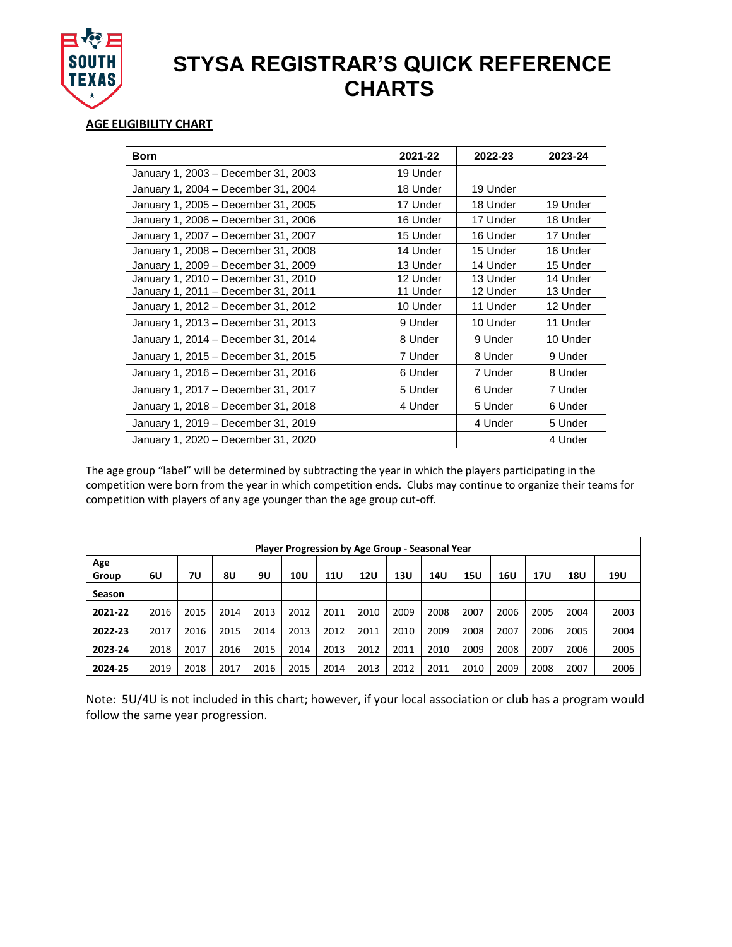

## **STYSA REGISTRAR'S QUICK REFERENCE CHARTS**

## **AGE ELIGIBILITY CHART**

| <b>Born</b>                         | 2021-22  | 2022-23  | 2023-24  |
|-------------------------------------|----------|----------|----------|
| January 1, 2003 - December 31, 2003 | 19 Under |          |          |
| January 1, 2004 - December 31, 2004 | 18 Under | 19 Under |          |
| January 1, 2005 - December 31, 2005 | 17 Under | 18 Under | 19 Under |
| January 1, 2006 - December 31, 2006 | 16 Under | 17 Under | 18 Under |
| January 1, 2007 - December 31, 2007 | 15 Under | 16 Under | 17 Under |
| January 1, 2008 - December 31, 2008 | 14 Under | 15 Under | 16 Under |
| January 1, 2009 - December 31, 2009 | 13 Under | 14 Under | 15 Under |
| January 1, 2010 - December 31, 2010 | 12 Under | 13 Under | 14 Under |
| January 1, 2011 - December 31, 2011 | 11 Under | 12 Under | 13 Under |
| January 1, 2012 - December 31, 2012 | 10 Under | 11 Under | 12 Under |
| January 1, 2013 - December 31, 2013 | 9 Under  | 10 Under | 11 Under |
| January 1, 2014 - December 31, 2014 | 8 Under  | 9 Under  | 10 Under |
| January 1, 2015 - December 31, 2015 | 7 Under  | 8 Under  | 9 Under  |
| January 1, 2016 - December 31, 2016 | 6 Under  | 7 Under  | 8 Under  |
| January 1, 2017 – December 31, 2017 | 5 Under  | 6 Under  | 7 Under  |
| January 1, 2018 - December 31, 2018 | 4 Under  | 5 Under  | 6 Under  |
| January 1, 2019 - December 31, 2019 |          | 4 Under  | 5 Under  |
| January 1, 2020 - December 31, 2020 |          |          | 4 Under  |

The age group "label" will be determined by subtracting the year in which the players participating in the competition were born from the year in which competition ends. Clubs may continue to organize their teams for competition with players of any age younger than the age group cut-off.

| Player Progression by Age Group - Seasonal Year |      |      |      |      |      |            |            |      |      |      |      |            |      |      |
|-------------------------------------------------|------|------|------|------|------|------------|------------|------|------|------|------|------------|------|------|
| Age<br>Group                                    | 6U   | 7U   | 8U   | 9U   | 10U  | <b>11U</b> | <b>12U</b> | 13U  | 14U  | 15U  | 16U  | <b>17U</b> | 18U  | 19U  |
| <b>Season</b>                                   |      |      |      |      |      |            |            |      |      |      |      |            |      |      |
| 2021-22                                         | 2016 | 2015 | 2014 | 2013 | 2012 | 2011       | 2010       | 2009 | 2008 | 2007 | 2006 | 2005       | 2004 | 2003 |
| 2022-23                                         | 2017 | 2016 | 2015 | 2014 | 2013 | 2012       | 2011       | 2010 | 2009 | 2008 | 2007 | 2006       | 2005 | 2004 |
| 2023-24                                         | 2018 | 2017 | 2016 | 2015 | 2014 | 2013       | 2012       | 2011 | 2010 | 2009 | 2008 | 2007       | 2006 | 2005 |
| 2024-25                                         | 2019 | 2018 | 2017 | 2016 | 2015 | 2014       | 2013       | 2012 | 2011 | 2010 | 2009 | 2008       | 2007 | 2006 |

Note: 5U/4U is not included in this chart; however, if your local association or club has a program would follow the same year progression.